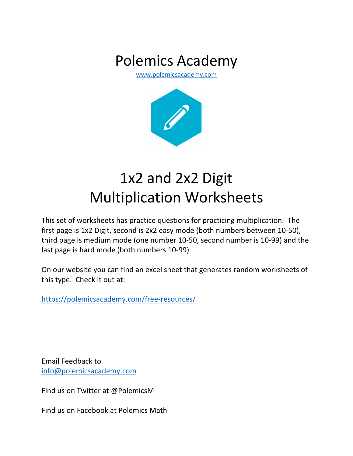## Polemics Academy

www.polemicsacademy.com



## 1x2 and 2x2 Digit Multiplication Worksheets

This set of worksheets has practice questions for practicing multiplication. The first page is 1x2 Digit, second is 2x2 easy mode (both numbers between 10-50), third page is medium mode (one number 10-50, second number is 10-99) and the last page is hard mode (both numbers 10-99)

On our website you can find an excel sheet that generates random worksheets of this type. Check it out at:

https://polemicsacademy.com/free-resources/

Email Feedback to info@polemicsacademy.com

Find us on Twitter at @PolemicsM

Find us on Facebook at Polemics Math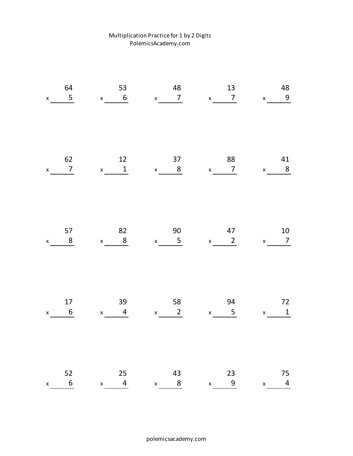## Multiplication Practice for 1 by 2 Digits PolemicsAcademy.com

| 64<br>$5\phantom{.0}$<br>$\mathsf{X}^-$     | 53<br>$x \t 6$                             | 48<br>$x \qquad 7$                        | 13<br>$x \sim 7$                                      | 48<br>$x$ 9                                         |
|---------------------------------------------|--------------------------------------------|-------------------------------------------|-------------------------------------------------------|-----------------------------------------------------|
| 62<br>$\overline{7}$<br>$\pmb{\mathsf{x}}$  | 12<br>$x \t 1$                             | 37<br>$x \qquad 8$                        | 88<br>$x \qquad 7$                                    | 41<br>$x$ 8                                         |
| 57<br>8<br>$\mathsf X$                      | 82<br>$x$ 8                                | 90<br>$x = 5$                             | 47<br>$x \qquad 2$                                    | 10<br>$\overline{7}$<br>$\mathsf{X}$                |
| 17<br>$6\phantom{1}6$<br>$\pmb{\mathsf{X}}$ | 39<br>$\overline{4}$<br>$x \sim$           | 58<br>$2\overline{ }$<br>$\mathbf x$      | 94<br>$5\phantom{.0}$<br>$x \underline{\hspace{2cm}}$ | 72<br>$\mathbf 1$<br>$\boldsymbol{\mathsf{X}}$      |
| 52<br>$6\overline{6}$<br>$\pmb{\mathsf{x}}$ | 25<br>$\overline{4}$<br>$\pmb{\mathsf{X}}$ | 43<br>$\frac{8}{1}$<br>$\pmb{\mathsf{X}}$ | 23<br>9<br>$\pmb{\mathsf{X}}$                         | 75<br>$\overline{\mathbf{r}}$<br>$\pmb{\mathsf{X}}$ |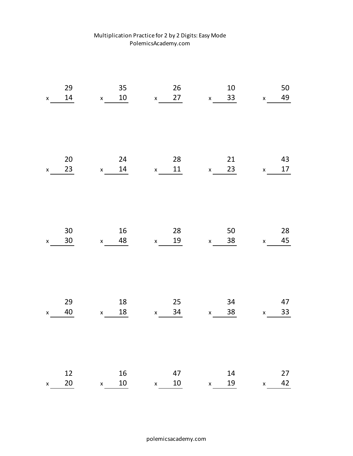| Multiplication Practice for 2 by 2 Digits: Easy Mode |
|------------------------------------------------------|
| PolemicsAcademy.com                                  |

| 29                 | 35                 | 26                 | $10\,$             | 50                 |
|--------------------|--------------------|--------------------|--------------------|--------------------|
| $14\,$             | $10\,$             | 27                 | 33                 | 49                 |
| $\pmb{\mathsf{X}}$ | $\mathsf{x}$       | $\pmb{\mathsf{X}}$ | $\pmb{\mathsf{X}}$ | $\pmb{\mathsf{x}}$ |
| 20                 | 24                 | 28                 | 21                 | 43                 |
| 23                 | $14\,$             | 11                 | 23                 | 17                 |
| $\pmb{\mathsf{x}}$ | $\mathsf{x}$       | $\mathsf X$        | $\pmb{\mathsf{X}}$ | $\pmb{\mathsf{x}}$ |
| 30                 | $16\,$             | 28                 | 50                 | 28                 |
| $30\,$             | 48                 | 19                 | 38                 | 45                 |
| $\pmb{\mathsf{x}}$ | $\mathsf{x}$       | $\mathsf{X}$       | $\pmb{\mathsf{X}}$ | $\pmb{\mathsf{X}}$ |
| 29                 | $18\,$             | 25                 | 34                 | 47                 |
| $40\,$             | $18\,$             | 34                 | 38                 | 33                 |
| $\pmb{\mathsf{X}}$ | $\mathsf{x}$       | $\mathbf{x}^-$     | $\mathsf X$        | $\pmb{\mathsf{x}}$ |
| 12                 | $16\,$             | 47                 | 14                 | 27                 |
| 20                 | $10\,$             | $10\,$             | 19                 | 42                 |
| $\pmb{\mathsf{x}}$ | $\pmb{\mathsf{X}}$ | $\pmb{\mathsf{X}}$ | $\pmb{\mathsf{X}}$ | $\pmb{\mathsf{x}}$ |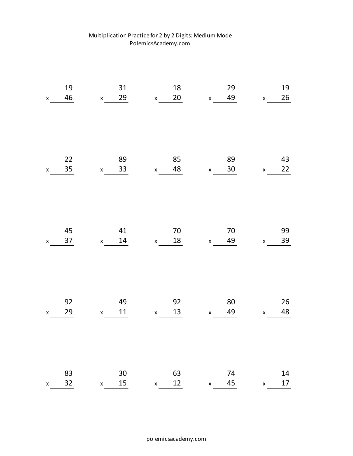| 19                 | 31                 | 18                 | 29                 | 19                 |
|--------------------|--------------------|--------------------|--------------------|--------------------|
| 46                 | 29                 | $20\,$             | 49                 | 26                 |
| $\pmb{\mathsf{X}}$ | $\mathsf{X}$       | $\mathsf{X}^-$     | $\pmb{\mathsf{X}}$ | $\pmb{\mathsf{X}}$ |
| 22                 | 89                 | 85                 | 89                 | 43                 |
| 35                 | 33                 | 48                 | 30 <sup>°</sup>    | 22                 |
| $\pmb{\mathsf{X}}$ | $\pmb{\mathsf{X}}$ | $\pmb{\mathsf{X}}$ | $\mathsf X$        | $\pmb{\mathsf{X}}$ |
| 45                 | 41                 | $70\,$             | $70\,$             | 99                 |
| 37                 | $14\,$             | 18                 | 49                 | 39                 |
| $\pmb{\mathsf{x}}$ | $\mathsf{x}$       | $\mathsf{X}$       | $\mathsf X$        | $\pmb{\mathsf{X}}$ |
| 92                 | 49                 | 92                 | 80                 | 26                 |
| 29                 | $11\,$             | 13                 | 49                 | 48                 |
| $\pmb{\mathsf{x}}$ | $\pmb{\mathsf{X}}$ | $\mathsf{X}^-$     | $\mathsf X$        | $\pmb{\mathsf{X}}$ |
| 83                 | $30\,$             | 63                 | 74                 | 14                 |
| 32                 | 15                 | 12                 | 45                 | $17\,$             |
| $\pmb{\mathsf{x}}$ | $\pmb{\mathsf{X}}$ | $\pmb{\mathsf{X}}$ | $\pmb{\mathsf{x}}$ | $\pmb{\mathsf{X}}$ |

## Multiplication Practice for 2 by 2 Digits: Medium Mode PolemicsAcademy.com